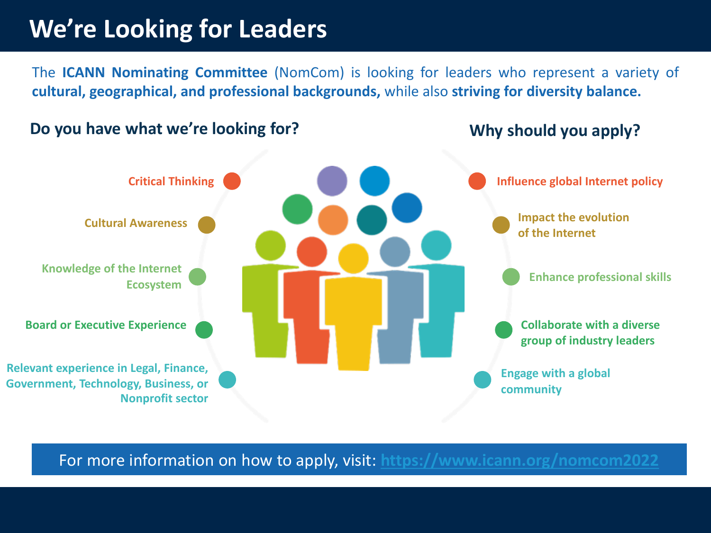#### **We're Looking for Leaders**

The **ICANN Nominating Committee** (NomCom) is looking for leaders who represent a **cultural, geographical, and professional backgrounds,** while also **striving for diversity balance.**

#### **Do you have what we're looking for? Why should you apply as a struck why should you apply**



For more information on how to apply, visit: https://www.icann.org/nomcom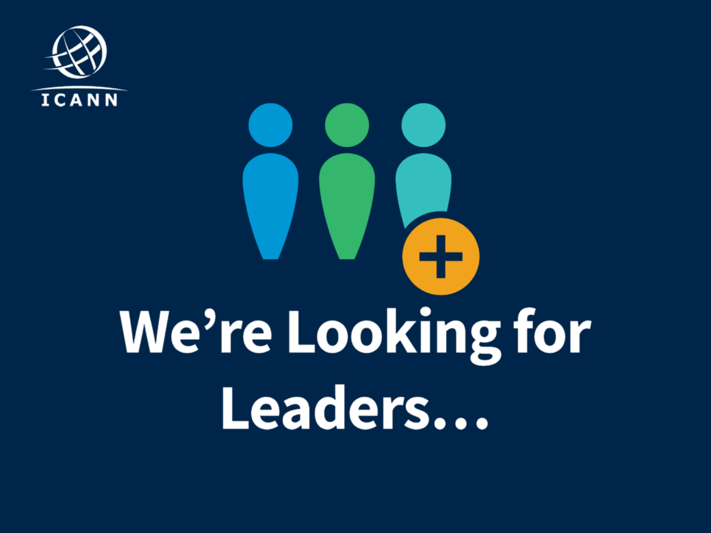

# We're Looking for Leaders...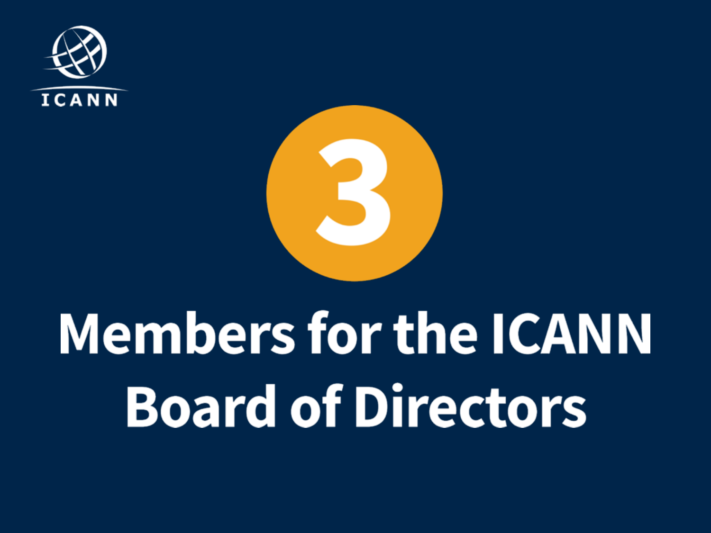



# **Members for the ICANN Board of Directors**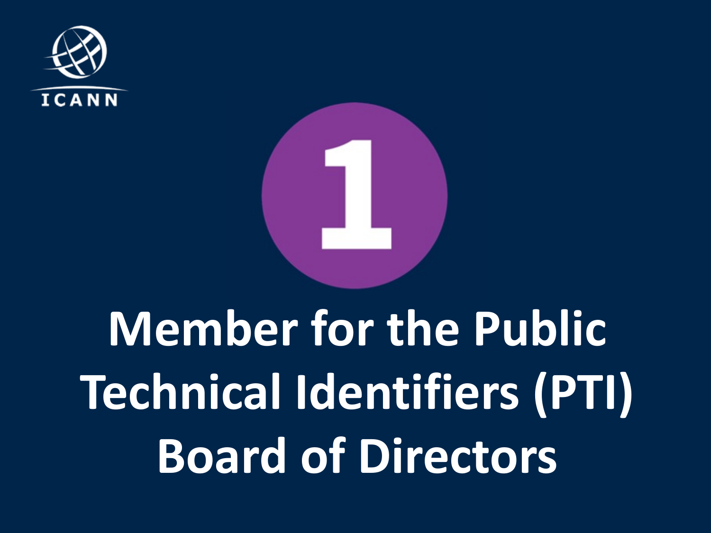



#### **Member for the Public Technical Identifiers (PTI) Board of Directors**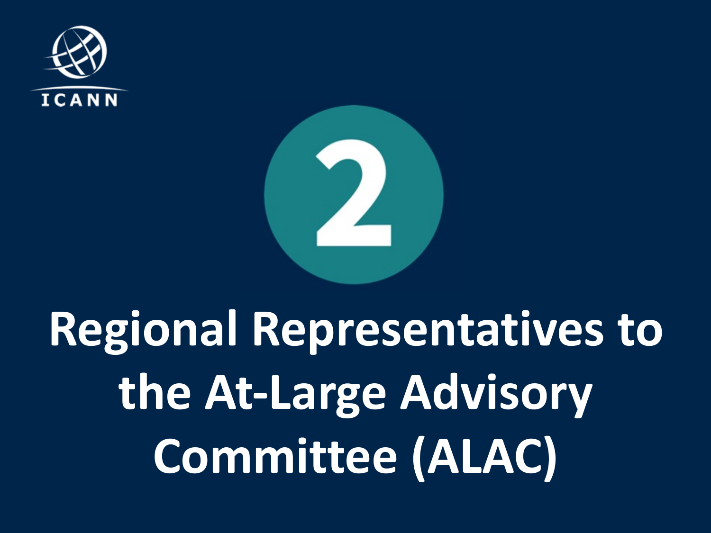



# **Regional Representatives to the At-Large Advisory Committee (ALAC)**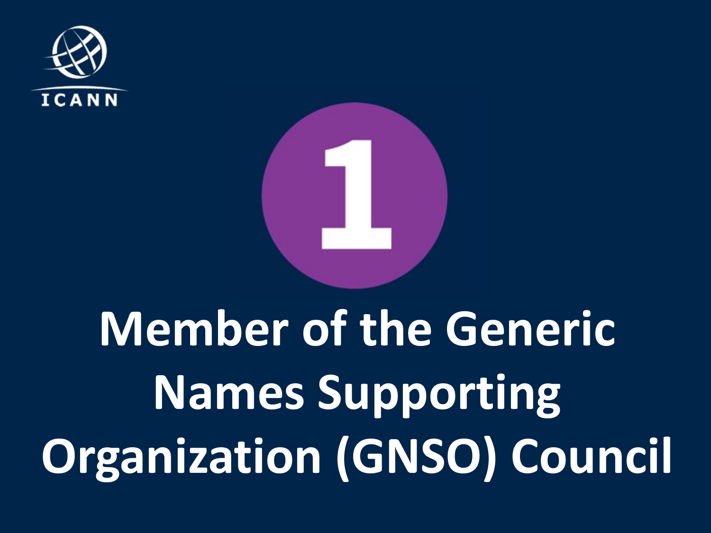



# **Member of the Generic Names Supporting Organization (GNSO) Council**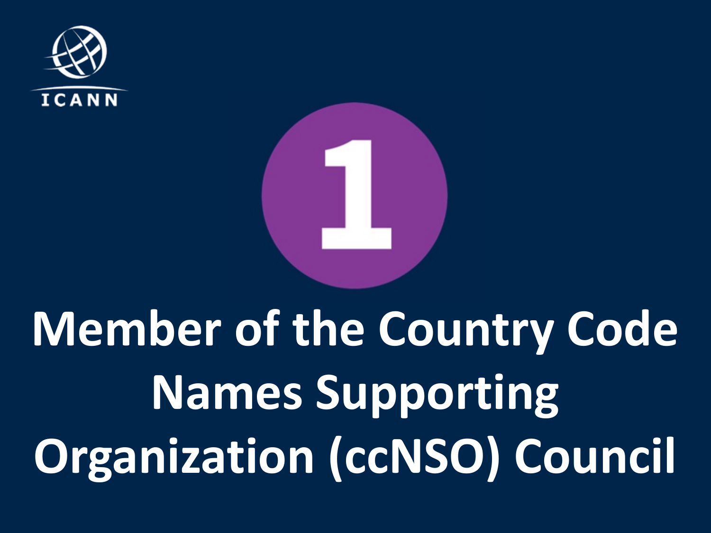



# **Member of the Country Code Names Supporting Organization (ccNSO) Council**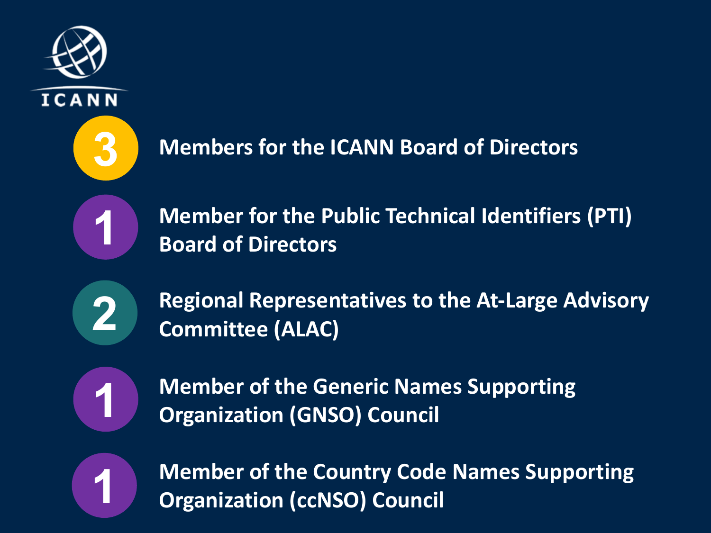



**Members for the ICANN Board of Directors**

**1 Member for the Public Technical Identifiers (PTI) Board of Directors**

**2**

**Regional Representatives to the At-Large Advisory Committee (ALAC)** 



**Member of the Generic Names Supporting Organization (GNSO) Council** 



**Member of the Country Code Names Supporting 1 Organization (ccNSO) Council**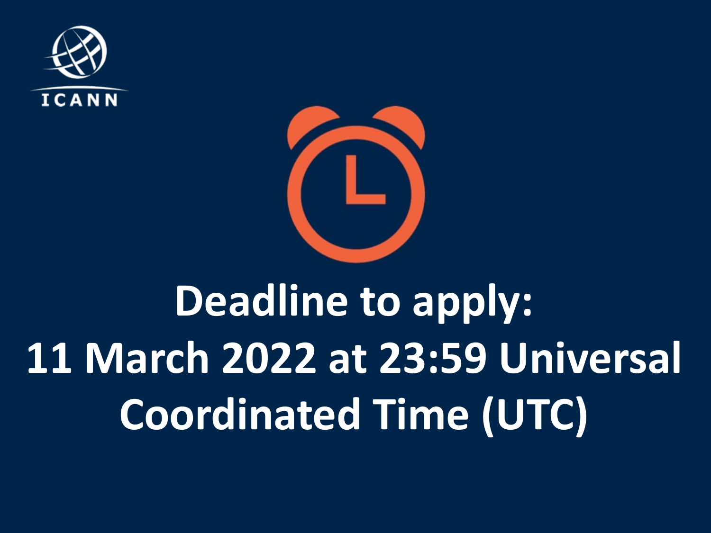



#### **Deadline to apply: 11 March 2022 at 23:59 Universal Coordinated Time (UTC)**